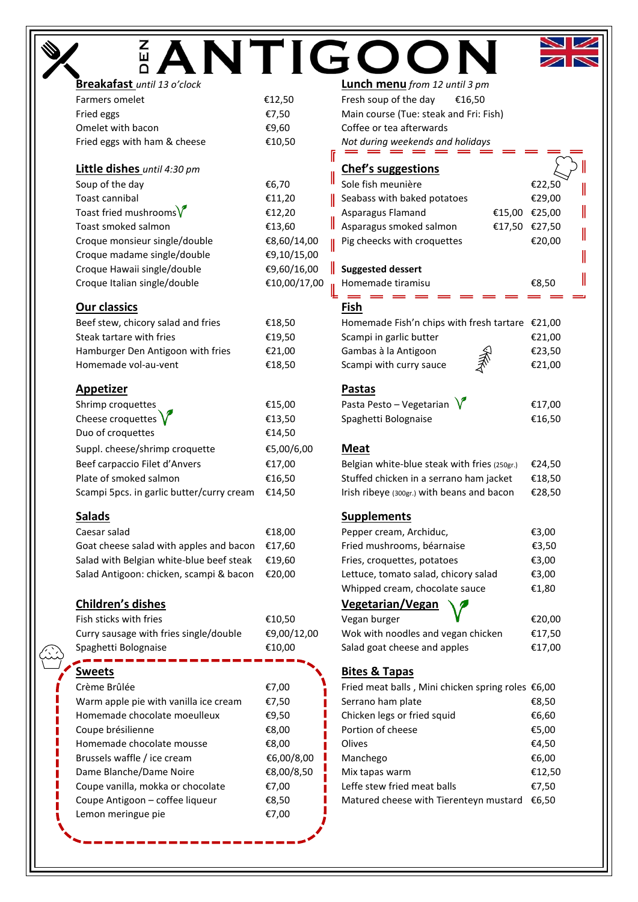# EANTIGOON

| Farmers omelet               | €12.50 | Fresh soup of the day                  | €16.50 |
|------------------------------|--------|----------------------------------------|--------|
| Fried eggs                   | €7.50  | Main course (Tue: steak and Fri: Fish) |        |
| Omelet with bacon            | €9.60  | Coffee or tea afterwards               |        |
| Fried eggs with ham & cheese | €10.50 | Not during weekends and holidays       |        |
|                              |        |                                        |        |

# **Little dishes** *until 4:30 pm*<br> **Course** of the day

| Soup of the day                   | €6,70        | Sole fish meunière                  |               | €22,50 |
|-----------------------------------|--------------|-------------------------------------|---------------|--------|
| Toast cannibal                    | €11,20       | Seabass with baked potatoes         |               | €29,00 |
| Toast fried mushrooms $\sqrt{\ }$ | €12,20       | Asparagus Flamand                   | €15,00        | €25,00 |
| Toast smoked salmon               | €13,60       | $\parallel$ Asparagus smoked salmon | €17,50 €27,50 |        |
| Croque monsieur single/double     | €8,60/14,00  | Pig cheecks with croquettes         |               | €20,00 |
| Croque madame single/double       | €9,10/15,00  |                                     |               |        |
| Croque Hawaii single/double       | €9,60/16,00  | <b>Suggested dessert</b>            |               |        |
| Croque Italian single/double      | €10,00/17,00 | Homemade tiramisu                   |               | €8,50  |

## **Our** classics

| Beef stew, chicory salad and fries | €18 |
|------------------------------------|-----|
| Steak tartare with fries           | €19 |
| Hamburger Den Antigoon with fries  | €21 |
| Homemade vol-au-vent               | €18 |

# **Appetizer**

| Shrimp croquettes                         | €15,00     | Pasta Pesto – Vegetarian $V$                 | €17,00 |
|-------------------------------------------|------------|----------------------------------------------|--------|
| Cheese croquettes $\sqrt{}$               | €13,50     | Spaghetti Bolognaise                         | €16,50 |
| Duo of croquettes                         | €14,50     |                                              |        |
| Suppl. cheese/shrimp croquette            | €5,00/6,00 | Meat                                         |        |
| Beef carpaccio Filet d'Anvers             | €17,00     | Belgian white-blue steak with fries (250gr.) | €24.50 |
| Plate of smoked salmon                    | €16.50     | Stuffed chicken in a serrano ham jacket      | €18,50 |
| Scampi 5pcs. in garlic butter/curry cream | €14,50     | Irish ribeye (300gr.) with beans and bacon   | €28,50 |

# **Salads**

| Caesar salad                                             | €18.00 | Pepper cream, Archiduc,              | €3.00 |
|----------------------------------------------------------|--------|--------------------------------------|-------|
| Goat cheese salad with apples and bacon $\epsilon$ 17,60 |        | Fried mushrooms, béarnaise           | €3,50 |
| Salad with Belgian white-blue beef steak $£19,60$        |        | Fries, croquettes, potatoes          | €3.00 |
| Salad Antigoon: chicken. scampi & bacon €20.00           |        | Lettuce, tomato salad, chicory salad | €3.00 |

# **Children's dishes**

| Fish sticks with fries                 | €10.50      | Vegan burger                       | €20,00 |
|----------------------------------------|-------------|------------------------------------|--------|
| Curry sausage with fries single/double | €9,00/12,00 | Wok with noodles and vegan chicken | €17,50 |
| Spaghetti Bolognaise                   | €10.00      | Salad goat cheese and apples       | €17,00 |
|                                        |             |                                    |        |

| <b>Sweets</b>                         |            | <b>Bites &amp; Tapas</b>                          |        |
|---------------------------------------|------------|---------------------------------------------------|--------|
| Crème Brûlée                          | €7,00      | Fried meat balls, Mini chicken spring roles €6,00 |        |
| Warm apple pie with vanilla ice cream | €7,50      | Serrano ham plate                                 | €8,50  |
| Homemade chocolate moeulleux          | €9,50      | Chicken legs or fried squid                       | €6,60  |
| Coupe brésilienne                     | €8,00      | Portion of cheese                                 | €5,00  |
| Homemade chocolate mousse             | €8,00      | Olives                                            | €4,50  |
| Brussels waffle / ice cream           | €6,00/8,00 | Manchego                                          | €6,00  |
| Dame Blanche/Dame Noire               | €8,00/8,50 | Mix tapas warm                                    | €12,50 |
| Coupe vanilla, mokka or chocolate     | €7,00      | Leffe stew fried meat balls                       | €7,50  |
| Coupe Antigoon – coffee liqueur       | €8,50      | Matured cheese with Tierenteyn mustard            | €6,50  |
| Lemon meringue pie                    | €7,00      |                                                   |        |

| Breakafast until 13 o'clock                                                                                                                                                       |                | <b>Lunch menu</b> from 12 until 3 pm                                  |              |
|-----------------------------------------------------------------------------------------------------------------------------------------------------------------------------------|----------------|-----------------------------------------------------------------------|--------------|
| Farmers omelet                                                                                                                                                                    | €12,50         | Fresh soup of the day<br>€16,50                                       |              |
| Fried eggs                                                                                                                                                                        | €7,50          | Main course (Tue: steak and Fri: Fish)                                |              |
| Omelet with bacon                                                                                                                                                                 | €9,60          | Coffee or tea afterwards                                              |              |
| Fried eggs with ham & cheese                                                                                                                                                      | €10,50         | Not during weekends and holidays                                      |              |
| Little dishes until 4:30 pm                                                                                                                                                       |                | <b>Chef's suggestions</b>                                             |              |
| Soup of the day                                                                                                                                                                   | €6,70          | Sole fish meunière                                                    | €22,50       |
| Toast cannibal                                                                                                                                                                    | €11,20         | Seabass with baked potatoes                                           | €29,00       |
| Toast fried mushrooms $\sqrt{}$                                                                                                                                                   | €12,20         | Asparagus Flamand<br>€15,00 €25,00                                    |              |
| Toast smoked salmon                                                                                                                                                               | €13,60         | Asparagus smoked salmon<br>€17,50 €27,50                              |              |
| Croque monsieur single/double                                                                                                                                                     | €8,60/14,00    | Pig cheecks with croquettes                                           | II<br>€20,00 |
| Croque madame single/double                                                                                                                                                       | €9,10/15,00    |                                                                       |              |
| Croque Hawaii single/double                                                                                                                                                       | €9,60/16,00    | <b>Suggested dessert</b>                                              |              |
| Croque Italian single/double                                                                                                                                                      | €10,00/17,00   | Homemade tiramisu                                                     | €8,50        |
| <u>Our classics</u>                                                                                                                                                               |                | Fish                                                                  |              |
| Beef stew, chicory salad and fries                                                                                                                                                | €18,50         | Homemade Fish'n chips with fresh tartare €21,00                       |              |
| Steak tartare with fries                                                                                                                                                          | €19,50         | Scampi in garlic butter                                               | €21,00       |
| Hamburger Den Antigoon with fries                                                                                                                                                 | €21,00         | Gambas à la Antigoon                                                  | €23,50       |
| Homemade vol-au-vent                                                                                                                                                              | €18,50         | Scampi with curry sauce                                               | €21,00       |
| <u>Appetizer</u>                                                                                                                                                                  |                | <b>Pastas</b>                                                         |              |
| Shrimp croquettes                                                                                                                                                                 | €15,00         | Pasta Pesto – Vegetarian $V$                                          | €17,00       |
| Cheese croquettes $\operatorname{\sf V}$                                                                                                                                          | €13,50         | Spaghetti Bolognaise                                                  | €16,50       |
| Duo of croquettes                                                                                                                                                                 | €14,50         |                                                                       |              |
| Suppl. cheese/shrimp croquette                                                                                                                                                    | €5,00/6,00     | <b>Meat</b>                                                           |              |
| Beef carpaccio Filet d'Anvers                                                                                                                                                     | €17,00         | Belgian white-blue steak with fries (250gr.)                          | €24,50       |
| Plate of smoked salmon                                                                                                                                                            | €16,50         | Stuffed chicken in a serrano ham jacket                               | €18,50       |
| Scampi 5pcs. in garlic butter/curry cream                                                                                                                                         | €14,50         | Irish ribeye (300gr.) with beans and bacon                            | €28,50       |
| <u>Salads</u>                                                                                                                                                                     |                | <b>Supplements</b>                                                    |              |
| Caesar salad                                                                                                                                                                      | €18,00         | Pepper cream, Archiduc,                                               | €3,00        |
| Goat cheese salad with apples and bacon                                                                                                                                           | €17,60         | Fried mushrooms, béarnaise                                            | €3,50        |
| Salad with Belgian white-blue beef steak                                                                                                                                          | €19,60         | Fries, croquettes, potatoes                                           | €3,00        |
| Salad Antigoon: chicken, scampi & bacon                                                                                                                                           | €20,00         | Lettuce, tomato salad, chicory salad                                  | €3,00        |
|                                                                                                                                                                                   |                | Whipped cream, chocolate sauce                                        | €1,80        |
| <u>Children's dishes</u>                                                                                                                                                          |                | Vegetarian/Vegan                                                      |              |
| Fish sticks with fries                                                                                                                                                            | €10,50         | Vegan burger                                                          | €20,00       |
| Curry sausage with fries single/double                                                                                                                                            | €9,00/12,00    | Wok with noodles and vegan chicken                                    | €17,50       |
| Spaghetti Bolognaise                                                                                                                                                              | €10,00         | Salad goat cheese and apples                                          | €17,00       |
| <u>Sweets</u>                                                                                                                                                                     |                | <b>Bites &amp; Tapas</b>                                              |              |
| Crème Brûlée                                                                                                                                                                      | €7,00          | Fried meat balls, Mini chicken spring roles €6,00                     |              |
| Warm apple pie with vanilla ice cream                                                                                                                                             | €7,50          | Serrano ham plate                                                     | €8,50        |
| Homemade chocolate moeulleux                                                                                                                                                      | €9,50          | Chicken legs or fried squid                                           | €6,60        |
| Coupe brésilienne                                                                                                                                                                 | €8,00          | Portion of cheese                                                     | €5,00        |
|                                                                                                                                                                                   | €8,00          | Olives                                                                | €4,50        |
|                                                                                                                                                                                   | €6,00/8,00     | Manchego                                                              | €6,00        |
|                                                                                                                                                                                   | €8,00/8,50     | Mix tapas warm                                                        | €12,50       |
|                                                                                                                                                                                   |                |                                                                       |              |
|                                                                                                                                                                                   | €7,00          |                                                                       | €6,50        |
| Homemade chocolate mousse<br>Brussels waffle / ice cream<br>Dame Blanche/Dame Noire<br>Coupe vanilla, mokka or chocolate<br>Coupe Antigoon - coffee liqueur<br>Lemon meringue pie | €7,00<br>€8,50 | Leffe stew fried meat balls<br>Matured cheese with Tierenteyn mustard | €7,50        |

 $\sum$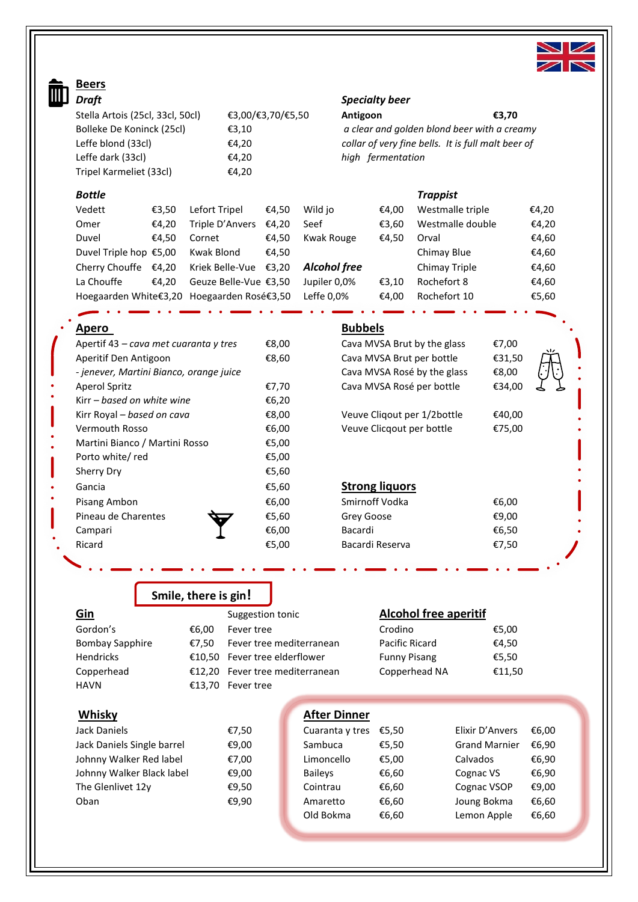

# **Beers**

| <b>Draft</b>                     |                   | <b>Specialty beer</b>                          |
|----------------------------------|-------------------|------------------------------------------------|
| Stella Artois (25cl, 33cl, 50cl) | €3,00/€3,70/€5,50 | Antigoon<br>€3.70                              |
| Bolleke De Koninck (25cl)        | €3,10             | a clear and golden blond beer with a cre       |
| Leffe blond (33cl)               | €4.20             | collar of very fine bells. It is full malt bee |
| Leffe dark (33cl)                | €4.20             | high fermentation                              |
| Tripel Karmeliet (33cl)          | €4.20             |                                                |

a clear and golden blond beer with a creamy collar of very fine bells. It is full malt beer of high fermentation

#### *Bottle Trappist*

| Vedett                 | €3.50 | Lefort Tripel                              | €4.50 | Wild io       | €4.00    | Westmalle triple | €4,20 |
|------------------------|-------|--------------------------------------------|-------|---------------|----------|------------------|-------|
| Omer                   | €4.20 | Triple D'Anvers                            | €4.20 | Seef          | €3.60    | Westmalle double | €4,20 |
| Duvel                  | €4.50 | Cornet                                     | €4.50 | Kwak Rouge    | €4.50    | Orval            | €4,60 |
| Duvel Triple hop €5,00 |       | Kwak Blond                                 | €4.50 |               |          | Chimay Blue      | €4,60 |
| Cherry Chouffe €4,20   |       | Kriek Belle-Vue €3,20                      |       | Alcohol free  |          | Chimay Triple    | €4,60 |
| La Chouffe             | €4.20 | Geuze Belle-Vue €3,50                      |       | Jupiler 0,0%  | € $3.10$ | Rochefort 8      | €4,60 |
|                        |       | Hoegaarden White€3,20 Hoegaarden Rosé€3,50 |       | Leffe $0.0\%$ | €4.00    | Rochefort 10     | €5,60 |

| Apertif 43 – cava met cuaranta y tres   | €8,00 | Cava MVSA Brut by the glass | €7,00  |
|-----------------------------------------|-------|-----------------------------|--------|
| Aperitif Den Antigoon                   | €8,60 | Cava MVSA Brut per bottle   | €31,50 |
| - jenever, Martini Bianco, orange juice |       | Cava MVSA Rosé by the glass | €8,00  |
| Aperol Spritz                           | €7,70 | Cava MVSA Rosé per bottle   | €34,00 |
| Kirr – based on white wine              | €6,20 |                             |        |
| Kirr Royal – based on cava              | €8,00 | Veuve Cliqout per 1/2bottle | €40,00 |
| <b>Vermouth Rosso</b>                   | €6,00 | Veuve Clicqout per bottle   | €75,00 |
| Martini Bianco / Martini Rosso          | €5,00 |                             |        |
| Porto white/ red                        | €5,00 |                             |        |
| Sherry Dry                              | €5,60 |                             |        |
| Gancia                                  | €5,60 | <b>Strong liquors</b>       |        |
| Pisang Ambon                            | €6,00 | Smirnoff Vodka              | €6,00  |
| Pineau de Charentes                     | €5,60 | Grey Goose                  | €9,00  |
| Campari                                 | €6,00 | Bacardi                     | €6,50  |
| <b>Dicard</b>                           | FE NN | Docardi Docorua             | 77 EN  |

### **Apero Bubbels**

| DUNNCIS                     |        |  |
|-----------------------------|--------|--|
| Cava MVSA Brut by the glass | €7,00  |  |
| Cava MVSA Brut per bottle   | €31,50 |  |
| Cava MVSA Rosé by the glass | €8,00  |  |
| Cava MVSA Rosé per bottle   | €34,00 |  |
|                             |        |  |
| Veuve Cligout per 1/2bottle | €40,00 |  |
| Veuve Clicgout per bottle   | €75,00 |  |
|                             |        |  |
|                             |        |  |
|                             |        |  |
| <b>Strong liquors</b>       |        |  |
|                             |        |  |
| Smirnoff Vodka              | €6.00  |  |

| <b>FISALIK AILINUIL</b> |                      | CU.UU | <b>JIIIIIIIUII VUUNA</b> | CU,UU |
|-------------------------|----------------------|-------|--------------------------|-------|
| Pineau de Charentes     | $\blacktriangledown$ | €5.60 | Grey Goose               | €9,00 |
| Campari                 |                      | €6.00 | Bacardi                  | €6,50 |
| Ricard                  |                      | €5.00 | Bacardi Reserva          | €7,50 |

# **Smile, there is gin! Gin** Suggestion tonic **Alcohol free aperitif** Gordon's €6,00 Fever tree Crodino €5,00 Bombay Sapphire  $\epsilon$ 7,50 Fever tree mediterranean Pacific Ricard  $\epsilon$ 4,50 Hendricks €10,50 Fever tree elderflower Funny Pisang €5,50 Copperhead €12,20 Fever tree mediterranean Copperhead NA €11,50 HAVN €13,70 Fever tree **Whisky After Dinner** Jack Daniels €7,50 Cuaranta y tres €5,50 Elixir D'Anvers €6,00 Jack Daniels Single barrel €9,00 Sambuca €5,50 Grand Marnier €6,90 Johnny Walker Red label €7,00 Limoncello €5,00 Calvados €6,90 Johnny Walker Black label €9,00 Baileys €6,60 Cognac VS €6,90 The Glenlivet 12y  $\epsilon$ 9,50 Cointrau  $\epsilon$ 6,60 Cognac VSOP  $\epsilon$ 9,00 Oban €9,90 Amaretto €6,60 Joung Bokma €6,60 Old Bokma €6,60 Lemon Apple €6,60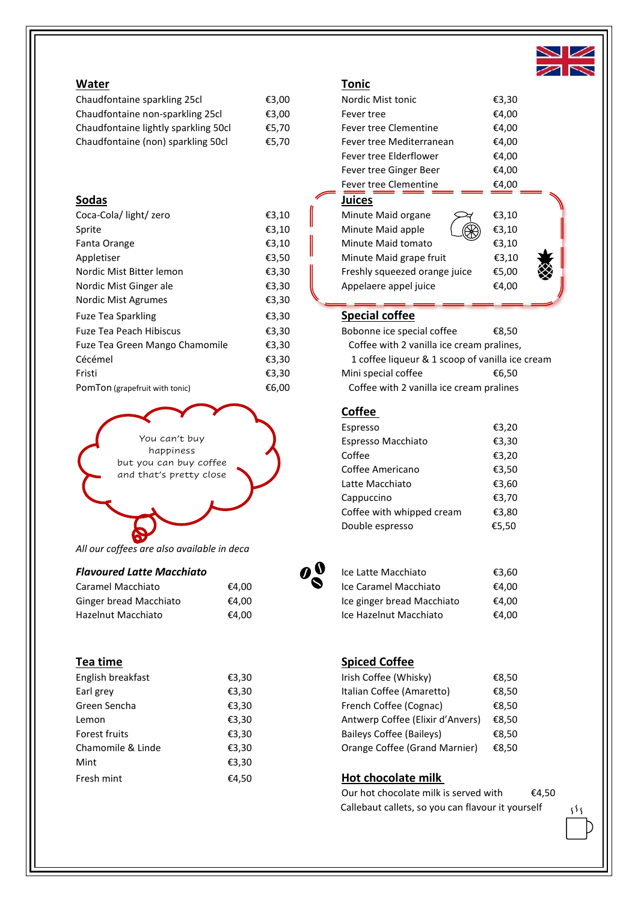

#### **Water Tonic**

| Chaudfontaine sparkling 25cl         | €3.00 | Nordic Mist tonic        | €3,30 |
|--------------------------------------|-------|--------------------------|-------|
| Chaudfontaine non-sparkling 25cl     | €3.00 | Fever tree               | €4,00 |
| Chaudfontaine lightly sparkling 50cl | €5.70 | Fever tree Clementine    | €4,00 |
| Chaudfontaine (non) sparkling 50cl   | €5.70 | Fever tree Mediterranean | €4,00 |

#### **Sodas**

| Coca-Cola/ light/ zero         | €3,10 | €3,10<br>Minute Maid organe                     |
|--------------------------------|-------|-------------------------------------------------|
| Sprite                         | €3,10 | Minute Maid apple<br>€3,10                      |
| Fanta Orange                   | €3,10 | €3,10<br>Minute Maid tomato                     |
| Appletiser                     | €3,50 | €3,10<br>Minute Maid grape fruit                |
| Nordic Mist Bitter lemon       | €3,30 | Freshly squeezed orange juice<br>€5,00          |
| Nordic Mist Ginger ale         | €3,30 | Appelaere appel juice<br>€4,00                  |
| Nordic Mist Agrumes            | €3,30 |                                                 |
| <b>Fuze Tea Sparkling</b>      | €3,30 | Special coffee                                  |
| <b>Fuze Tea Peach Hibiscus</b> | €3,30 | Bobonne ice special coffee<br>€8,50             |
| Fuze Tea Green Mango Chamomile | €3,30 | Coffee with 2 vanilla ice cream pralines,       |
| Cécémel                        | €3,30 | 1 coffee liqueur & 1 scoop of vanilla ice cream |
| Fristi                         | €3,30 | Mini special coffee<br>€6.50                    |
| PomTon (grapefruit with tonic) | €6,00 | Coffee with 2 vanilla ice cream pralines        |



*All our coffees are also available in deca*

| Caramel Macchiato      | €4.00 | Ice Caramel Macchiato      | €4,00 |
|------------------------|-------|----------------------------|-------|
| Ginger bread Macchiato | €4.00 | Ice ginger bread Macchiato | €4,00 |
| Hazelnut Macchiato     | €4.00 | Ice Hazelnut Macchiato     | €4,00 |

| English breakfast | €3,30 | Irish Coffee (Whisky)            | €8,50 |
|-------------------|-------|----------------------------------|-------|
| Earl grey         | €3,30 | Italian Coffee (Amaretto)        | €8,50 |
| Green Sencha      | €3,30 | French Coffee (Cognac)           | €8,50 |
| Lemon             | €3,30 | Antwerp Coffee (Elixir d'Anvers) | €8,50 |
| Forest fruits     | €3,30 | Baileys Coffee (Baileys)         | €8,50 |
| Chamomile & Linde | €3,30 | Orange Coffee (Grand Marnier)    | €8,50 |
| Mint              | €3,30 |                                  |       |
| Fresh mint        | €4.50 | Hot chocolate milk               |       |

| .                             |       |
|-------------------------------|-------|
| Nordic Mist tonic             | €3,30 |
| Fever tree                    | €4,00 |
| Fever tree Clementine         | €4,00 |
| Fever tree Mediterranean      | €4,00 |
| Fever tree Elderflower        | €4,00 |
| Fever tree Ginger Beer        | €4,00 |
| Fever tree Clementine         | €4,00 |
|                               |       |
| <b>Juices</b>                 |       |
| Minute Maid organe            | €3,10 |
| Minute Maid apple             | €3,10 |
| Minute Maid tomato            | €3,10 |
| Minute Maid grape fruit       | €3,10 |
| Freshly squeezed orange juice | €5,00 |
| Appelaere appel juice         | €4,00 |

## **Special coffee**

| Bobonne ice special coffee                      | €8,50 |
|-------------------------------------------------|-------|
| Coffee with 2 vanilla ice cream pralines,       |       |
| 1 coffee liqueur & 1 scoop of vanilla ice cream |       |
| Mini special coffee                             | €6,50 |
| Coffee with 2 vanilla ice cream pralines        |       |
|                                                 |       |

#### **Coffee**

| Espresso                  | €3,20 |
|---------------------------|-------|
| Espresso Macchiato        | €3,30 |
| Coffee                    | €3,20 |
| Coffee Americano          | €3,50 |
| Latte Macchiato           | €3.60 |
| Cappuccino                | €3,70 |
| Coffee with whipped cream | €3,80 |
| Double espresso           | €5,50 |
|                           |       |



| <b>Flavoured Latte Macchiato</b> |       | $\boldsymbol{o}^{\boldsymbol{0}}_{\boldsymbol{\infty}}$ | Ice Latte Macchiato        | €3.60 |
|----------------------------------|-------|---------------------------------------------------------|----------------------------|-------|
| Caramel Macchiato                | €4.00 |                                                         | Ice Caramel Macchiato      | €4.00 |
| Ginger bread Macchiato           | €4.00 |                                                         | Ice ginger bread Macchiato | €4.00 |
| Hazelnut Macchiato               | €4.00 |                                                         | Ice Hazelnut Macchiato     | €4.00 |

## **Tea time Spiced Coffee**

| Irish Coffee (Whisky)            | €8,50 |
|----------------------------------|-------|
| Italian Coffee (Amaretto)        | €8,50 |
| French Coffee (Cognac)           | €8,50 |
| Antwerp Coffee (Elixir d'Anvers) | €8.50 |
| Baileys Coffee (Baileys)         | €8,50 |
| Orange Coffee (Grand Marnier)    | €8,50 |

#### Hot chocolate milk

Our hot chocolate milk is served with  $\epsilon$ 4,50 Callebaut callets, so you can flavour it yourself

355